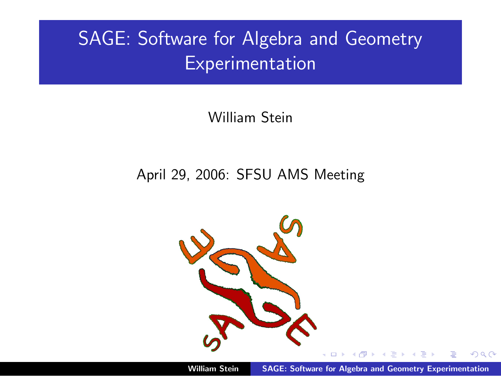# SAGE: Software for Algebra and Geometry Experimentation

William Stein

#### April 29, 2006: SFSU AMS Meeting

<span id="page-0-0"></span>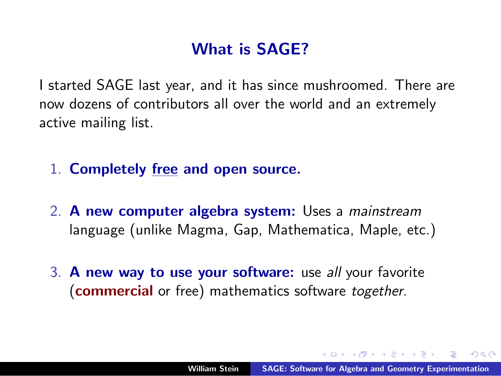# What is SAGE?

I started SAGE last year, and it has since mushroomed. There are now dozens of contributors all over the world and an extremely active mailing list.

- 1. Completely free and open source.
- 2. A new computer algebra system: Uses a mainstream language (unlike Magma, Gap, Mathematica, Maple, etc.)
- 3. A new way to use your software: use all your favorite (**commercial** or free) mathematics software together.

へのへ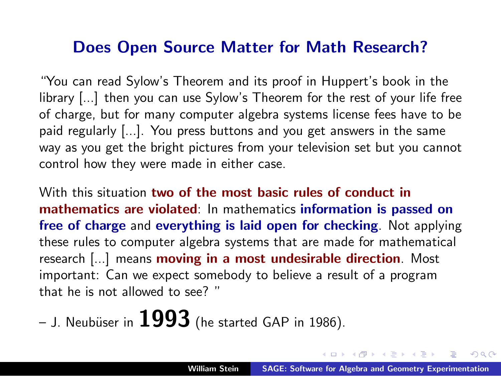#### Does Open Source Matter for Math Research?

"You can read Sylow's Theorem and its proof in Huppert's book in the library [...] then you can use Sylow's Theorem for the rest of your life free of charge, but for many computer algebra systems license fees have to be paid regularly [...]. You press buttons and you get answers in the same way as you get the bright pictures from your television set but you cannot control how they were made in either case.

With this situation two of the most basic rules of conduct in mathematics are violated: In mathematics information is passed on free of charge and everything is laid open for checking. Not applying these rules to computer algebra systems that are made for mathematical research [...] means moving in a most undesirable direction. Most important: Can we expect somebody to believe a result of a program that he is not allowed to see? "

– J. Neubüser in  $1993$  (he started GAP in 1986).

マーター マンドマン

 $\Omega$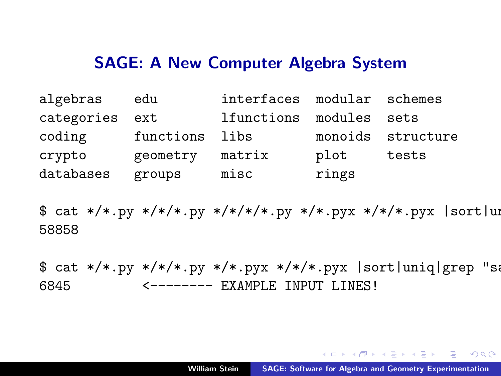#### SAGE: A New Computer Algebra System

| algebras       | edu            | interfaces modular schemes |       |                   |
|----------------|----------------|----------------------------|-------|-------------------|
| categories ext |                | lfunctions modules sets    |       |                   |
| coding         | functions libs |                            |       | monoids structure |
| crypto         | geometry       | matrix                     | plot  | tests             |
| databases      | groups         | misc                       | rings |                   |

 $$ cat$  \*/\*.py \*/\*/\*.py \*/\*/\*/\*.py \*/\*.pyx \*/\*/\*.pyx |sort|uni 58858

 $$ cat$  \*/\*.py \*/\*/\*.py \*/\*.pyx \*/\*/\*.pyx |sort|uniq|grep "sage: 6845 <-------- EXAMPLE INPUT LINES!

<span id="page-3-0"></span>K 何 ▶ K 重 ▶ K 重 ▶ 三重 → 約 Q (^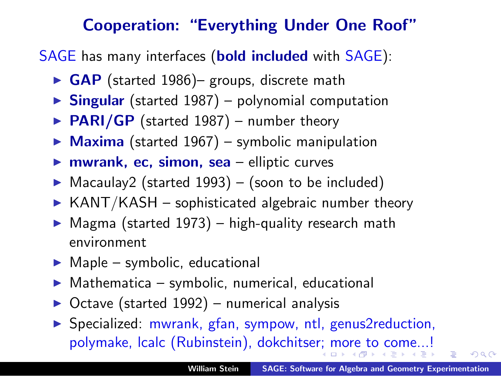### Cooperation: "Everything Under One Roof"

SAGE has many interfaces (**bold included** with SAGE):

- $\triangleright$  GAP (started 1986)– groups, discrete math
- $\triangleright$  Singular (started 1987) polynomial computation
- $\triangleright$  PARI/GP (started 1987) number theory
- $\triangleright$  Maxima (started 1967) symbolic manipulation
- $\triangleright$  mwrank, ec, simon, sea elliptic curves
- $\triangleright$  Macaulay2 (started 1993) (soon to be included)
- $\triangleright$  KANT/KASH sophisticated algebraic number theory
- $\triangleright$  Magma (started 1973) high-quality research math environment
- $\blacktriangleright$  Maple symbolic, educational
- $Mathematica symbolic, numerical, educational$
- Octave (started 1992) numerical analysis
- ▶ Specialized: mwrank, gfan, sympow, ntl, genus2reduction, polymake, lcalc (Rubinstein), dokchitse[r;](#page-3-0) [mo](#page-5-0)[r](#page-3-0)[e t](#page-4-0)[o](#page-5-0) [c](#page-0-0)[om](#page-14-0)[e..](#page-0-0)[.!](#page-14-0)

<span id="page-4-0"></span> $\Omega$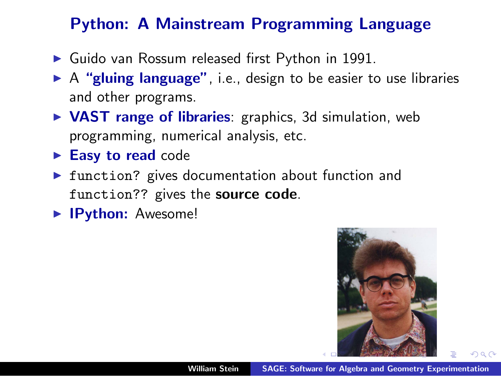# Python: A Mainstream Programming Language

- $\blacktriangleright$  Guido van Rossum released first Python in 1991.
- $\triangleright$  A "gluing language", i.e., design to be easier to use libraries and other programs.
- $\triangleright$  VAST range of libraries: graphics, 3d simulation, web programming, numerical analysis, etc.
- $\blacktriangleright$  Easy to read code
- $\triangleright$  function? gives documentation about function and function?? gives the source code.
- **IPython:** Awesome!

<span id="page-5-0"></span>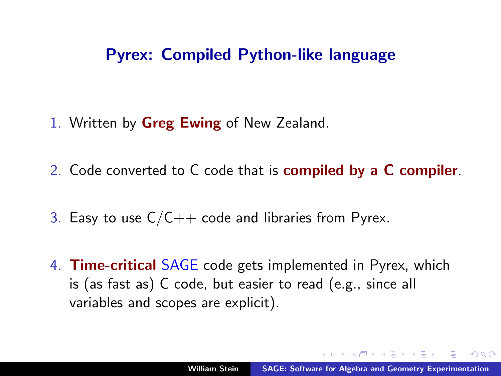#### Pyrex: Compiled Python-like language

- 1. Written by **Greg Ewing** of New Zealand.
- 2. Code converted to C code that is compiled by a C compiler.
- 3. Easy to use  $C/C++$  code and libraries from Pyrex.
- 4. Time-critical SAGE code gets implemented in Pyrex, which is (as fast as) C code, but easier to read (e.g., since all variables and scopes are explicit).

へのへ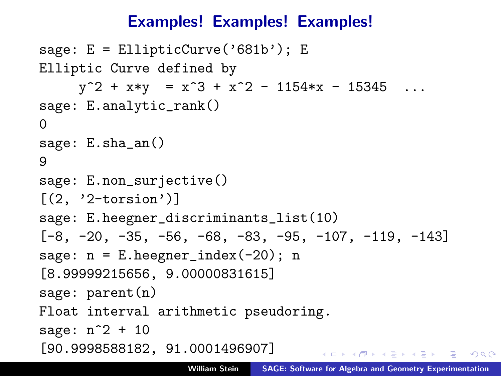### Examples! Examples! Examples!

```
sage: E = EllipticCurve('681b'); EElliptic Curve defined by
     y^2 + x*y = x^3 + x^2 - 1154*x - 15345 \dotssage: E.analytic_rank()
\Omegasage: E.sha_an()
9
sage: E.non_surjective()
[(2, '2-torsion')]sage: E.heegner_discriminants_list(10)
[-8, -20, -35, -56, -68, -83, -95, -107, -119, -143]sage: n = E.heegner_index(-20); n
[8.99999215656, 9.00000831615]
sage: parent(n)
Float interval arithmetic pseudoring.
sage: n^2 + 10
[90.9998588182, 91.0001496907]
                                     KID KARA KE KIER IE KORO
```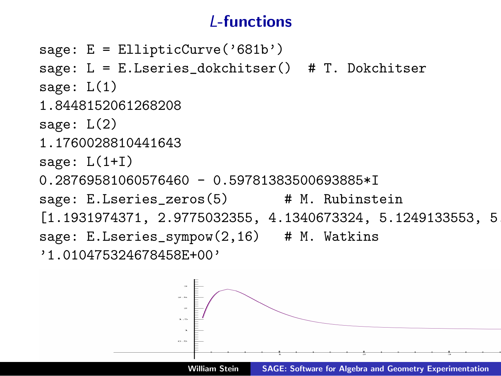# L-functions

```
sage: E = EllipticCurve('681b')sage: L = E.Lseries_dokchitser() # T. Dokchitser
sage: L(1)
1.8448152061268208
sage: L(2)
1.1760028810441643
sage: L(1+I)
0.28769581060576460 - 0.59781383500693885*I
sage: E.Lseries_zeros(5) # M. Rubinstein
[1.1931974371, 2.9775032355, 4.1340673324, 5.1249133553, 5.82876]sage: E.Lseries_sympow(2,16) # M. Watkins
'1.010475324678458E+00'
```
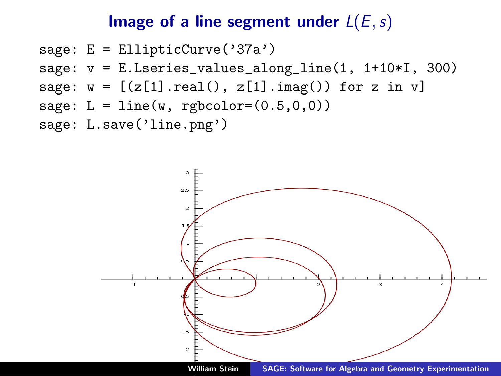#### Image of a line segment under  $L(E, s)$

```
sage: E = EllipticCurve('37a')
sage: v = E.Lseries_values_along_line(1, 1+10*I, 300)
sage: w = [(z[1].real(), z[1].imag()) for z in v]
sage: L = line(w,</sub> <math>rgbcolor=(0.5,0,0))sage: L.save('line.png')
```
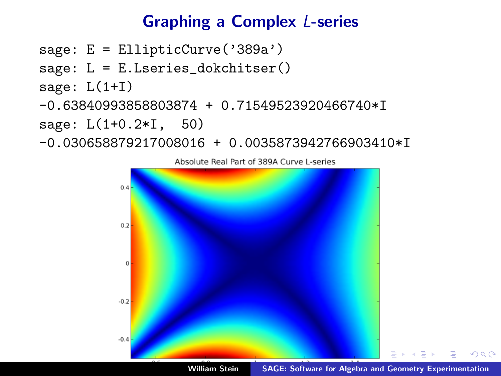# Graphing a Complex L-series

- sage: E = EllipticCurve('389a')
- sage: L = E.Lseries\_dokchitser()

```
sage: L(1+I)
```
-0.63840993858803874 + 0.71549523920466740\*I

sage: L(1+0.2\*I, 50)

-0.030658879217008016 + 0.0035873942766903410\*I



 $\Omega$ 

Absolute Real Part of 389A Curve L-series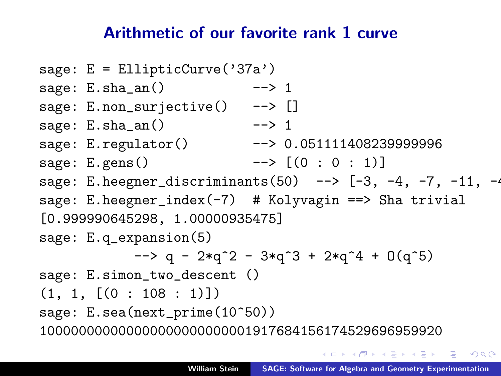#### Arithmetic of our favorite rank 1 curve

sage: E = EllipticCurve('37a') sage:  $E.\text{sha}$  an()  $---> 1$ sage: E.non\_surjective() --> [] sage:  $E.\text{sha}$  an()  $---> 1$ sage: E.regulator() --> 0.051111408239999996 sage: E.gens()  $--> [(0:0:1)]$ sage: E.heegner\_discriminants(50) -->  $[-3, -4, -7, -11, -4]$ sage: E.heegner\_index(-7) # Kolyvagin ==> Sha trivial [0.999990645298, 1.00000935475] sage: E.q\_expansion(5)  $-$  > q - 2\*q^2 - 3\*q^3 + 2\*q^4 + 0(q^5) sage: E.simon\_two\_descent ()  $(1, 1, [(0:108:1)]$ sage: E.sea(next\_prime(10^50)) 100000000000000000000000001917684156174529696959920

→ 何 ▶ → ヨ ▶ → ヨ ▶ │ ヨ │ ◆ 9 Q (^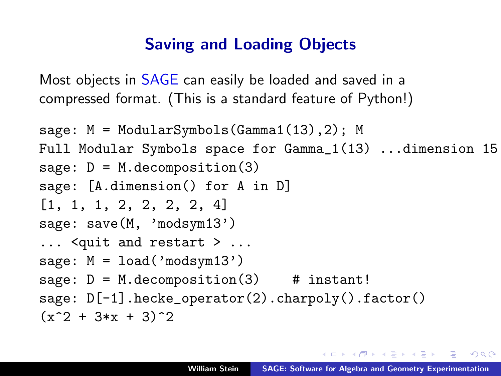#### Saving and Loading Objects

Most objects in SAGE can easily be loaded and saved in a compressed format. (This is a standard feature of Python!)

```
sage: M = ModularSymbols(Gamma1(13),2); M
Full Modular Symbols space for Gamma_1(13) ...dimension 15
sage: D = M.decomposition(3)
sage: [A.dimension() for A in D]
[1, 1, 1, 2, 2, 2, 2, 4]
sage: save(M, 'modsym13')
... <quit and restart > ...
sage: M = \text{load}('modsym13')sage: D = M.decomposition(3) # instant!
sage: D[-1].hecke_operator(2).charpoly().factor()
(x^2 + 3*x + 3)^2
```
イロメ イ押 トイラ トイラメーラー

<span id="page-12-0"></span> $\Omega$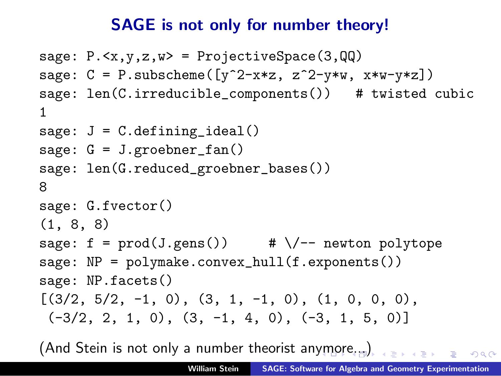#### SAGE is not only for number theory!

```
sage: P.\langle x,y,z,w\rangle = ProjectiveSpace(3,QQ)sage: C = P.subscheme([y^2-x*z, z^2-y*y, x*w-y*z])
sage: len(C.irreducible_components()) # twisted cubic
1
sage: J = C.defining_ideal()
sage: G = J.\text{groebner\_fan}()sage: len(G.reduced_groebner_bases())
8
sage: G.fvector()
(1, 8, 8)
sage: f = \text{prod}(J \cdot \text{gens}()) # \setminus /-- newton polytope
sage: NP = polymake.comvex_hull(f.exponents())sage: NP.facets()
[(3/2, 5/2, -1, 0), (3, 1, -1, 0), (1, 0, 0, 0),(-3/2, 2, 1, 0), (3, -1, 4, 0), (-3, 1, 5, 0)]
```
<span id="page-13-0"></span>(And Stein is not only a number theorist an[ym](#page-12-0)[or](#page-14-0)[e.](#page-12-0)[..\)](#page-13-0)  $000$